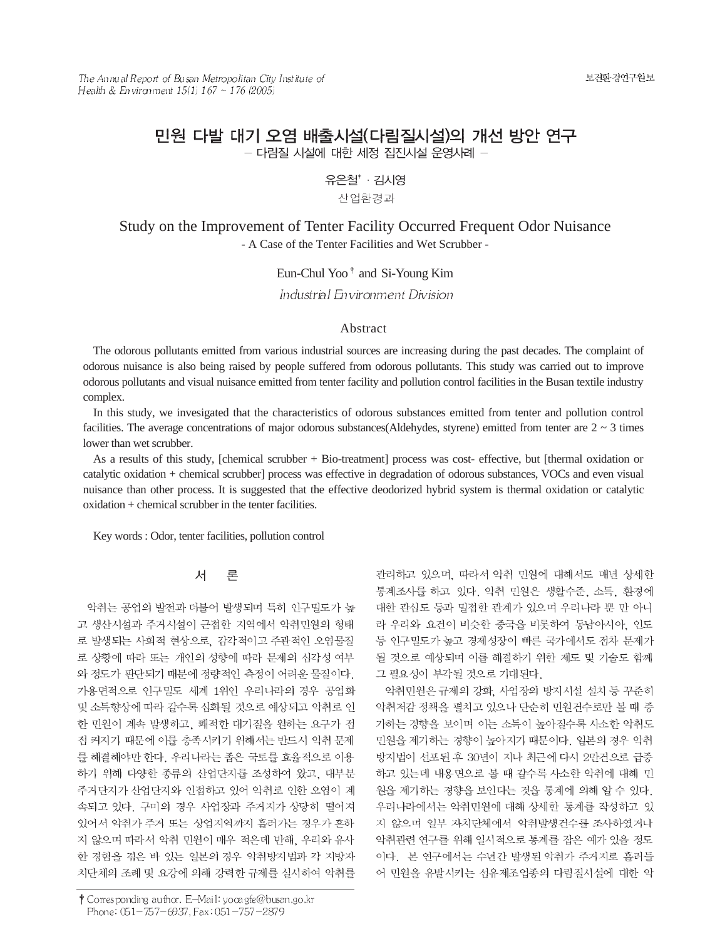# 민원 다발 대기 오염 배출시설(다림질시설)의 개선 방안 연구 - 다림질 시설에 대한 세정 집진시설 운영사례 -

유은철<sup>+</sup> · 김시영

산업환경과

# Study on the Improvement of Tenter Facility Occurred Frequent Odor Nuisance - A Case of the Tenter Facilities and Wet Scrubber -

Eun-Chul Yoo<sup>†</sup> and Si-Young Kim

Industrial Environment Division

### Abstract

The odorous pollutants emitted from various industrial sources are increasing during the past decades. The complaint of odorous nuisance is also being raised by people suffered from odorous pollutants. This study was carried out to improve odorous pollutants and visual nuisance emitted from tenter facility and pollution control facilities in the Busan textile industry complex.

In this study, we invesigated that the characteristics of odorous substances emitted from tenter and pollution control facilities. The average concentrations of major odorous substances(Aldehydes, styrene) emitted from tenter are  $2 \sim 3$  times lower than wet scrubber.

As a results of this study, [chemical scrubber + Bio-treatment] process was cost- effective, but [thermal oxidation or catalytic oxidation + chemical scrubber] process was effective in degradation of odorous substances, VOCs and even visual nuisance than other process. It is suggested that the effective deodorized hybrid system is thermal oxidation or catalytic oxidation + chemical scrubber in the tenter facilities.

Key words : Odor, tenter facilities, pollution control

#### 서 론

악취는 공업의 발전과 더불어 발생되며 특히 인구밀도가 높 고 생산시설과 주거시설이 근접한 지역에서 악취민원의 형태 로 발생되는 사회적 현상으로, 감각적이고 주관적인 오염물질 로 상황에 따라 또는 개인의 성향에 따라 문제의 심각성 여부 와 정도가 판단되기 때문에 정량적인 측정이 어려운 물질이다. 가용면적으로 인구밀도 세계 1위인 우리나라의 경우 공업화 및 소득향상에 따라 갈수록 심화될 것으로 예상되고 악취로 인 한 민원이 계속 발생하고, 쾌적한 대기질을 원하는 요구가 점 전 커지기 때문에 이를 충족시키기 위해서는 반드시 악취 문제 를 해결해야만 한다. 우리나라는 좁은 국토를 효율적으로 이용 하기 위해 다양한 종류의 산업단지를 조성하여 왔고, 대부분 주거단지가 산업단지와 인접하고 있어 악취로 인한 오염이 계 속되고 있다. 구미의 경우 사업장과 주거지가 상당히 떨어져 있어서 악취가 주거 또는 상업지역까지 흘러가는 경우가 흔하 지 않으며 따라서 악취 민원이 매우 적은데 반해, 우리와 유사 한 경험을 겪은 바 있는 일본의 경우 악취방지법과 각 지방자 치단체의 조례 및 요강에 의해 강력한 규제를 실시하여 악취를

† Corresponding author. E-Mail: yooa gfe@busan.go.kr Phone: 051-757-6937, Fax: 051-757-2879

관리하고 있으며, 따라서 악취 민원에 대해서도 매년 상세한 통계조사를 하고 있다. 악취 민원은 생활수준, 소득, 환경에 대한 관심도 등과 밀접한 관계가 있으며 우리나라 뿐 만 아니 라 우리와 요건이 비슷한 중국을 비롯하여 동남아시아, 인도 등 인구밀도가 높고 경제성장이 빠른 국가에서도 점차 문제가 될 것으로 예상되며 이를 해결하기 위한 제도 및 기술도 함께 그 필요성이 부각될 것으로 기대된다.

악취민원은 규제의 강화, 사업장의 방지시설 설치 등 꾸준히 악취저감 정책을 펼치고 있으나 단순히 민원건수로만 볼 때 증 가하는 경향을 보이며 이는 소득이 높아질수록 사소한 악취도 민원을 제기하는 경향이 높아지기 때문이다. 일본의 경우 악취 방지법이 선포된 후 30년이 지나 최근에 다시 2만건으로 급증 하고 있는데 내용면으로 볼 때 갈수록 사소한 악취에 대해 민 원을 제기하는 경향을 보인다는 것을 통계에 의해 알 수 있다. 우리나라에서는 악취민원에 대해 상세한 통계를 작성하고 있 지 않으며 일부 자치단체에서 악취발생건수를 조사하였거나 악취관련 연구를 위해 일시적으로 통계를 잡은 예가 있을 정도 이다. 본 연구에서는 수년간 발생된 악취가 주거지로 흘러들 어 민원을 유발시키는 섬유제조업종의 다림질시설에 대한 악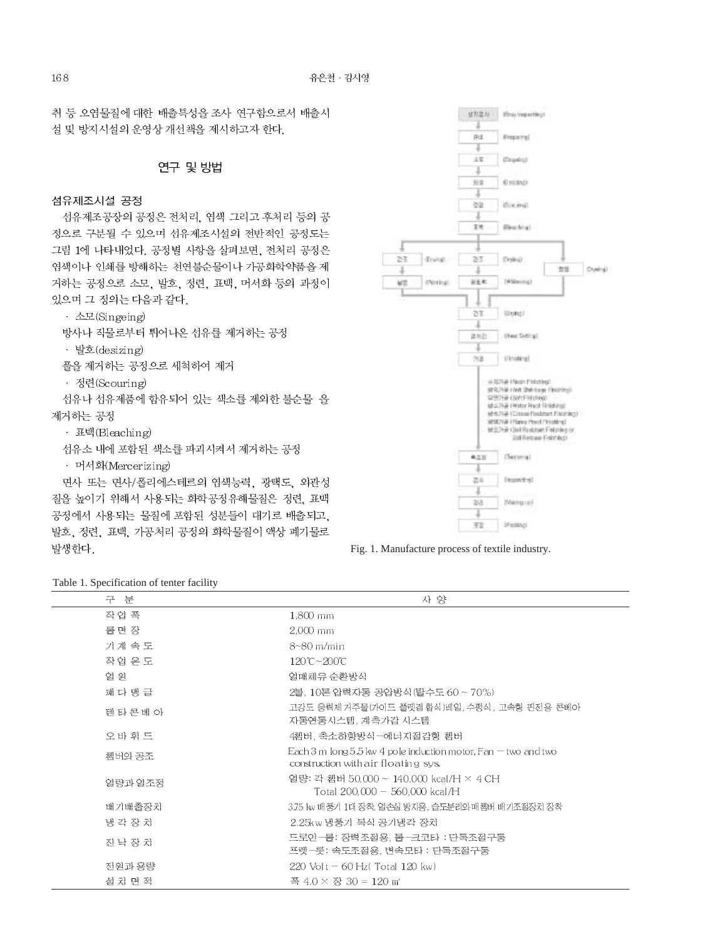취 등 오염물질에 대한 배출특성을 조사 연구함으로서 배출시 설 및 방지시설의 운영상 개선책을 제시하고자 한다.

## 연구 및 방법

#### 섬유제조시설 공정

섬유제조공장의 공정은 전처리, 염색 그리고 후처리 등의 공 정으로 구분될 수 있으며 섬유제조시설의 전반적인 공정도는 그림 1에 나타내었다. 공정별 사항을 살펴보면, 전처리 공정은 염색이나 인쇄를 방해하는 천연불순물이나 가공화학약품을 제 거하는 공정으로 소모, 발호, 정련, 표백, 머서화 등의 과정이 있으며 그 정의는 다음과 같다.

· 소모(Singeing)

방사나 직물로부터 튀어나온 섬유를 제거하는 공정

· 발호(desizing)

풀을 제거하는 공정으로 세척하여 제거

· 정련(Scouring)

섬유나 섬유제품에 함유되어 있는 색소를 제외한 불순물 을 제거하는 공정

• 표백(Bleaching)

- 섬유소 내에 포함된 색소를 파괴시켜서 제거하는 공정
- · 머서화(Mercerizing)

면사 또는 면사/폴리에스테르의 염색능력, 광택도, 외관성 질을 높이기 위해서 사용되는 화학공정유해물질은 정련, 표백 공정에서 사용되는 물질에 포함된 성분들이 대기로 배출되고, 발호, 정련, 표백, 가공처리 공정의 화학물질이 액상 폐기물로 발생한다.



Fig. 1. Manufacture process of textile industry.

|  | Table 1. Specification of tenter facility |  |  |  |  |
|--|-------------------------------------------|--|--|--|--|
|  |                                           |  |  |  |  |

| 구 분       | 사 양                                                                                                       |
|-----------|-----------------------------------------------------------------------------------------------------------|
| 작업 폭      | 1,800 mm                                                                                                  |
| 롤면 장      | $2.000$ mm                                                                                                |
| 기계 속 도    | $8 - 80$ m/min                                                                                            |
| 작업 온 도    | 120℃~200℃                                                                                                 |
| 열 원       | 열매체유 순환방식                                                                                                 |
| 패 다 맴 글   | 2볼, 10톤 압력자동 공압방식(탈수도 60 ~ 70%)                                                                           |
| 덴 타 콘 베 아 | 고강도 응력제 거주물(가이드 플렛결합식)레일, 수평식, 고속형 핀전용 콘베아<br>'자동연동시스템, 계측가감 시스템                                          |
| 오바 휘 드    | 4쳄버, 축소하향방식-에너지절감형 쳄버                                                                                     |
| 쳄버와 공조    | Each 3 m $\log 5.5$ kw 4 pole induction motor, Fan $-$ two and two<br>construction with air floating sys. |
| 열량과 열조정   | 열량: 각 쳄버 50,000 ~ 140,000 kcal/H × 4 CH<br>Total $200,000 - 560,000$ kcal/H                               |
| 배기배출장치    | 3.75 kw 배풍기 1대 장착, 열손실 방지용, 습도분리와 매쳄버 배기조절장치 장착                                                           |
| 냉각장치      | 2.25kw 냉풍기 복식 공기냉각 장치                                                                                     |
| 진 낙 장 치   | 드로인-롤: 장력조절용, 톨-크코타 : 단독조절구동<br>프렛-롯: 속도조절용, 변속모타 : 단독조절구동                                                |
| 전원과 용량    | $220$ Volt $-60$ Hz(Total 120 kw)                                                                         |
| 설 치 면 적   | 폭 4.0 × 장 30 = 120 ㎡                                                                                      |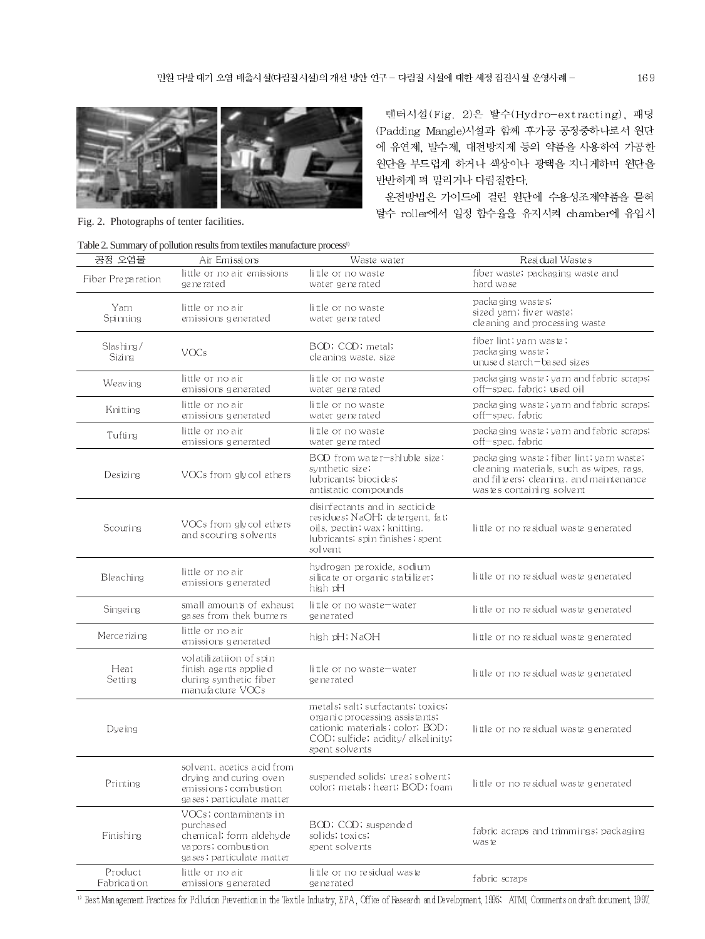

Fig. 2. Photographs of tenter facilities.

텐터시설(Fig. 2)은 탈수(Hydro-extracting), 패딩 (Padding Mangle)시설과 함께 후가공 공정중하나로서 원단 에 유연제, 발수제, 대전방지제 등의 약품을 사용하여 가공한 원단을 부드럽게 하거나 색상이나 광택을 지니게하며 원단을 반반하게 펴 말리거나 다림질한다.

운전방법은 가이드에 걸린 원단에 수용성조제약품을 묻혀 탈수 roller에서 일정 함수율을 유지시켜 chamber에 유입시

| 공정 오염물                 | Air Emissions                                                                                                    | Waste water                                                                                                                                                     | Residual Wastes                                                                                                                                              |
|------------------------|------------------------------------------------------------------------------------------------------------------|-----------------------------------------------------------------------------------------------------------------------------------------------------------------|--------------------------------------------------------------------------------------------------------------------------------------------------------------|
| Fiber Preparation      | little or no air emissions<br>ge ne rated                                                                        | little or no waste<br>water generated                                                                                                                           | fiber waste; packaging waste and<br>hard wase.                                                                                                               |
| Yarn<br>Spimning       | little or no air<br>emissions generated                                                                          | little or no waste<br>water generated                                                                                                                           | packaging wastes;<br>sized varn; fiver waste;<br>cleaning and processing waste                                                                               |
| Slashing/<br>Sizi ng   | VOCs                                                                                                             | BOD; COD; metal;<br>cleaning waste, size                                                                                                                        | fiber lint; yam waste;<br>packaging waste;<br>unused starch-based sizes                                                                                      |
| Weav ing               | little or no air<br>emissions generated                                                                          | little or no waste<br>water generated                                                                                                                           | packaging waste; yarn and fabric scraps;<br>off—spec. fabric; used oil                                                                                       |
| Kni tting              | little or no air<br>emissions generated                                                                          | little or no waste<br>water generated                                                                                                                           | packaging waste; yarn and fabric scraps;<br>off-spec. fabric                                                                                                 |
| Tufting                | little or no air<br>emissions generated                                                                          | little or no waste<br>water generated                                                                                                                           | packaging waste; yarn and fabric scraps;<br>off-spec. fabric                                                                                                 |
| Desizing               | VOCs from gly col ethers                                                                                         | BOD from water-shluble size:<br>synthetic size;<br>lubricants; biocides;<br>antistatic compounds                                                                | packaging waste; fiber lint; yarn waste;<br>cleaning materials, such as wipes, rags,<br>and filteers; cleaning, and maintenance<br>wastes containing solvent |
| Scouring               | VOCs from gly col ethers<br>and scouring solvents                                                                | disinfectants and in secticide<br>residues; NaOH; detergent, fat;<br>oils, pectin; wax; knitting.<br>lubricants; spin finishes; spent<br>solvent                | little or no residual waste generated                                                                                                                        |
| Bleaching              | little or no air<br>emissions generated                                                                          | hydrogen peroxide, sodium<br>silicate or organic stabilizer;<br>high pH                                                                                         | little or no residual waste generated                                                                                                                        |
| Singeing               | small amounts of exhaust<br>gases from thek burners                                                              | little or no waste-water<br>ge ne rated                                                                                                                         | little or no residual waste generated                                                                                                                        |
| Merce rizing           | little or no air<br>emissions generated                                                                          | high pH; NaOH                                                                                                                                                   | little or no residual waste generated                                                                                                                        |
| Heat<br>Setting        | volatilizatiion of spin<br>finish agents applied<br>during synthetic fiber<br>manufacture VOCs                   | little or no waste-water<br>ge ne rated                                                                                                                         | little or no residual waste generated                                                                                                                        |
| <b>Dye</b> ing         |                                                                                                                  | metals; salt; surfactants; toxics;<br>organic processing assistants;<br>cationic materials; color; BOD;<br>COD; sulfide; acidity/ alkalinity;<br>spent solvents | little or no residual waste generated                                                                                                                        |
| Printing               | solvent, acetics acid from<br>drying and curing oven<br>emissions ; combustion<br>gases; particulate matter      | suspended solids; urea; solvent;<br>color; metals; heart; BOD; foam                                                                                             | little or no residual waste generated                                                                                                                        |
| Finishing              | VOCs; contaminants in<br>purchased<br>chemical; form aldehyde<br>vapors; combustion<br>gases; particulate matter | BOD; COD; suspended<br>solids; toxics;<br>spent solvents                                                                                                        | fabric acraps and trimmings; packaging<br>waste                                                                                                              |
| Product<br>Fabrication | little or no air<br>emissions generated                                                                          | little or no residual waste<br>generated                                                                                                                        | fabric scraps                                                                                                                                                |

<sup>13</sup> Best Management Practices for Pollution Prevention in the Textile Industry, EPA, Office of Research and Development, 1995; ATMI, Comments on draft document, 1997,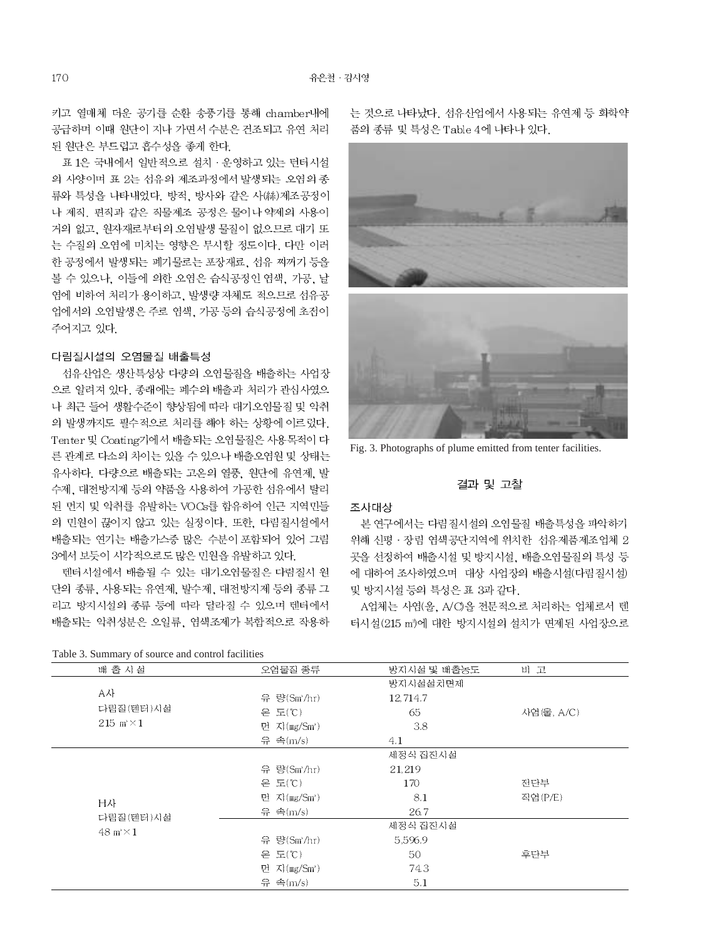키고 열매체 더운 공기를 순환 송풍기를 통해 chamber내에 공급하며 이때 원단이 지나 가면서 수분은 건조되고 유연 처리 된 원단은 부드럽고 흡수성을 좋게 한다.

표 1은 국내에서 일반적으로 설치 · 운영하고 있는 턴터시설 의 사양이며 표 2는 섬유의 제조과정에서 발생되는 오염의 종 류와 특성을 나타내었다. 방적, 방사와 같은 사(絲)제조공정이 나 제직, 편직과 같은 직물제조 공정은 물이나 약제의 사용이 거의 없고, 워자재로부터의 오염발생 물질이 없으므로 대기 또 는 수질의 오염에 미치는 영향은 무시할 정도이다. 다만 이러 한 공정에서 발생되는 폐기물로는 포장재료, 섬유 찌꺼기 등을 볼 수 있으나, 이들에 의한 오염은 습식공정인 염색, 가공, 날 염에 비하여 처리가 용이하고, 발생량 자체도 적으므로 섬유공 업에서의 오염발생은 주로 염색, 가공 등의 습식공정에 초점이 주어지고 있다.

### 다림질시설의 오염물질 배출특성

섬유산업은 생산특성상 다량의 오염물질을 배출하는 사업장 으로 알려져 있다. 종래에는 폐수의 배출과 처리가 관심사였으 나 최근 들어 생활수준이 향상됨에 따라 대기오염물질 및 악취 의 발생까지도 필수적으로 처리를 해야 하는 상황에 이르렀다. Tenter 및 Coating기에서 배출되는 오염물질은 사용목적이 다 른 관계로 다소의 차이는 있을 수 있으나 배출오염원 및 상태는 유사하다. 다량으로 배출되는 고온의 열풍, 원단에 유연제 발 수제, 대전방지제 등의 약품을 사용하여 가공한 섬유에서 탈리 된 먼지 및 악취를 유발하는 VOCs를 함유하여 인근 지역민들 의 민원이 끊이지 않고 있는 실정이다. 또한, 다림질시설에서 배출되는 연기는 배출가스중 많은 수분이 포함되어 있어 그림 3에서 보듯이 시각적으로도 많은 민원을 유발하고 있다.

텐터시설에서 배출될 수 있는 대기오염물질은 다림질시 원 단의 종류, 사용되는 유연제, 발수제, 대전방지제 등의 종류 그 리고 방지시설의 종류 등에 따라 달라질 수 있으며 텐터에서 배출되는 악취성분은 오일류, 염색조제가 복합적으로 작용하

는 것으로 나타났다. 섬유산업에서 사용되는 유연제 등 화학약 품의 종류 및 특성은 Table 4에 나타나 있다.



Fig. 3. Photographs of plume emitted from tenter facilities.

### 결과 및 고찰

#### 조사대상

본 연구에서는 다림질시설의 오염물질 배출특성을 파악하기 위해 신평 · 장림 염색공단지역에 위치한 섬유제품제조업체 2 곳을 선정하여 배출시설 및 방지시설, 배출오염물질의 특성 등 에 대하여 조사하였으며 대상 사업장의 배출시설(다림질시설) 및 방지시설 등의 특성은 표 3과 같다.

A업체는 사염(울, A/C)을 전문적으로 처리하는 업체로서 텐 터시설(215 m')에 대한 방지시설의 설치가 면제된 사업장으로

| Twore of Bulling , or source and collaboration is |                 |             |            |
|---------------------------------------------------|-----------------|-------------|------------|
| 배 출 시설                                            | 오염물질 종류         | 방지시설 및 배출농도 | 비 고        |
|                                                   |                 | 방지시설설치면제    |            |
| A사                                                | 유 량(Sm'/hr)     | 12,714.7    |            |
| 다림질(텐터)시설                                         | 온 도(℃)          | 65          | 사염(울, A/C) |
| 215 m $\times$ 1                                  | 면 지 $(mg/Sm^2)$ | 3.8         |            |
|                                                   | 유 속(m/s)        | 4.1         |            |
|                                                   |                 | 세정식 집진시설    |            |
|                                                   | 유 량(Sm'/hr)     | 21,219      |            |
|                                                   | 온 도(℃)          | 170         | 전단부        |
| H사                                                | 면 지(mg/Sm')     | 8.1         | 직염(P/E)    |
| 다림질(텐터)시설                                         | 유 속(m/s)        | 26.7        |            |
| $48 \text{ m} \times 1$                           |                 | 세정식 집진시설    |            |
|                                                   | 유 량(Sm'/hr)     | 5,596.9     |            |
|                                                   | 온 도(℃)          | 50          | 후단부        |
|                                                   | 먼 지(mg/Sm')     | 74.3        |            |
|                                                   | 유 속(m/s)        | 5.1         |            |
|                                                   |                 |             |            |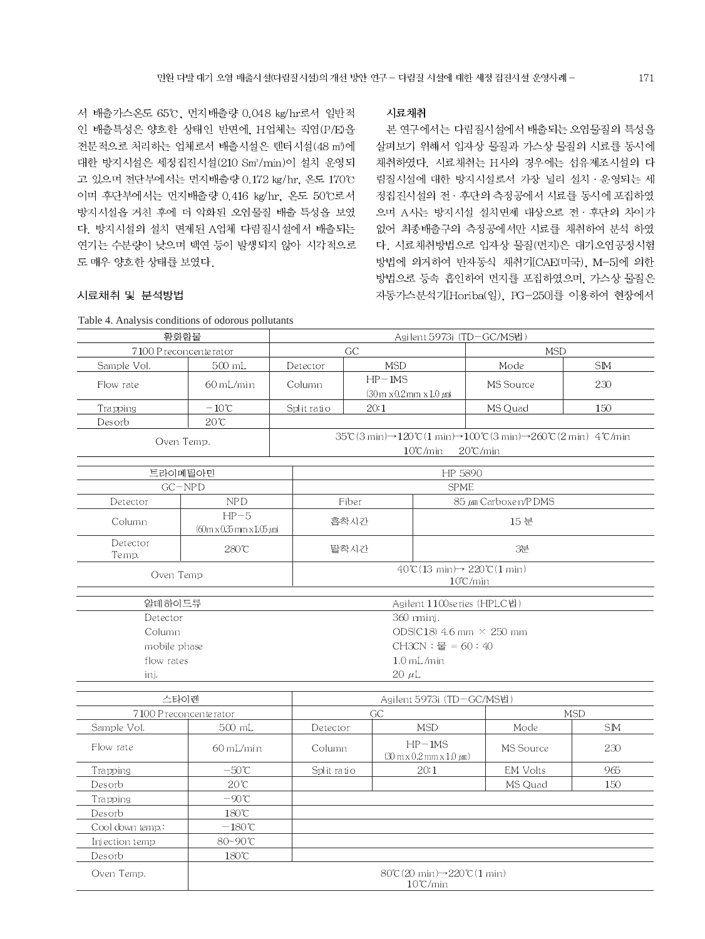시료채취

서 배출가스온도 65℃, 먼지배출량 0.048 kg/hr로서 일반적 인 배출특성은 양호한 상태인 반면에, H업체는 직염(P/E)을 전문적으로 처리하는 업체로서 배출시설은 텐터시설(48 m<sup>3</sup>)에 대한 방지시설은 세정집진시설(210 Sm3/min)이 설치 운영되 고 있으며 전단부에서는 먼지배출량 0.172 kg/hr, 온도 170℃ 이며 후단부에서는 먼지배출량 0.416 kg/hr, 온도 50℃로서 방지시설을 거친 후에 더 악화된 오염물질 배출 특성을 보였 다. 방지시설의 설치 면제된 A업체 다림질시설에서 배출되는 연기는 수분량이 낮으며 백연 등이 발생되지 않아 시각적으로 도 매우 양호한 상태를 보였다.

### 시료채취 및 분석방법

살펴보기 위해서 입자상 물질과 가스상 물질의 시료를 동시에 채취하였다. 시료채취는 H사의 경우에는 섬유제조시설의 다 림질시설에 대한 방지시설로서 가장 널리 설치 · 운영되는 세 정집진시설의 전 · 후단의 측정공에서 시료를 동시에 포집하였 으며 A사는 방지시설 설치면제 대상으로 전 후단의 차이가 없어 최종배출구의 측정공에서만 시료를 채취하여 분석 하였 다. 시료채취방법으로 입자상 물질(먼지)은 대기오염공정시험 방법에 의거하여 반자동식 채취기[CAE(미국), M-5]에 의한 방법으로 등속 흡인하여 먼지를 포집하였으며, 가스상 물질은 자동가스분석기[Horiba(일), PG-250]를 이용하여 현장에서

본 연구에서는 다림질시설에서 배출되는 오염물질의 특성을

| 황화합물              | Agilent 5973i (TD-GC/MS법)                                                          |                                 |                                                                                                                                                                                                   |                                                                            |                     |            |  |  |
|-------------------|------------------------------------------------------------------------------------|---------------------------------|---------------------------------------------------------------------------------------------------------------------------------------------------------------------------------------------------|----------------------------------------------------------------------------|---------------------|------------|--|--|
|                   | 7100 P reconcente rator                                                            |                                 | GC                                                                                                                                                                                                |                                                                            | <b>MSD</b>          |            |  |  |
| Sample Vol.       | 500 mL                                                                             | Detector                        | <b>MSD</b>                                                                                                                                                                                        |                                                                            | Mode                | <b>SM</b>  |  |  |
| Flow rate         | 60 mL/min                                                                          | Column                          | $HP-1MS$<br>$(30 \text{m} \times 0.2 \text{mm} \times 1.0 \text{ m})$                                                                                                                             |                                                                            | MS Source           | 230        |  |  |
| Trapping          | $-10\,^{\circ}\!{\rm C}$                                                           | Split ratio                     | 20:1                                                                                                                                                                                              |                                                                            | MS Quad             | 150        |  |  |
| Desorb            | $20^{\circ}$ C                                                                     |                                 |                                                                                                                                                                                                   |                                                                            |                     |            |  |  |
|                   | Oven Temp.                                                                         |                                 | $35\degree$ C(3 min) $\rightarrow$ 120 $\degree$ C(1 min) $\rightarrow$ 100 $\degree$ C(3 min) $\rightarrow$ 260 $\degree$ C(2 min) 4 $\degree$ C/min<br>$10^{\circ}$ C/min<br>$20^{\circ}$ C/min |                                                                            |                     |            |  |  |
|                   | 트라이메틸아민                                                                            |                                 |                                                                                                                                                                                                   | HP 5890                                                                    |                     |            |  |  |
|                   | $GC-NPD$                                                                           |                                 |                                                                                                                                                                                                   | <b>SPME</b>                                                                |                     |            |  |  |
| Detector          | NPD                                                                                |                                 | Fiber                                                                                                                                                                                             |                                                                            | 85 µm Carboxen/PDMS |            |  |  |
| Column            | $HP-5$<br>$(60m \times 0.35m \times 1.05 \mu m)$                                   |                                 | 흡착시간                                                                                                                                                                                              |                                                                            | 15 분                |            |  |  |
| Detector<br>Temp. | 280℃                                                                               |                                 | 탈착시간                                                                                                                                                                                              |                                                                            | 3분                  |            |  |  |
| Oven Temp         | $40^{\circ}$ C(13 min) $\rightarrow$ 220 $^{\circ}$ C(1 min)<br>$10^{\circ}$ C/min |                                 |                                                                                                                                                                                                   |                                                                            |                     |            |  |  |
| 알데하이드류            |                                                                                    |                                 | Agilent 1100se ries (HPLC법)                                                                                                                                                                       |                                                                            |                     |            |  |  |
| Detector          |                                                                                    |                                 |                                                                                                                                                                                                   | 360 mini.                                                                  |                     |            |  |  |
| Column            |                                                                                    | ODS(C18) 4.6 mm $\times$ 250 mm |                                                                                                                                                                                                   |                                                                            |                     |            |  |  |
| mobile phase      |                                                                                    | CH3CN : 물 = 60 : 40             |                                                                                                                                                                                                   |                                                                            |                     |            |  |  |
| flow rates        |                                                                                    | $1.0$ mL/min                    |                                                                                                                                                                                                   |                                                                            |                     |            |  |  |
| ini.              |                                                                                    | $20 \mu L$                      |                                                                                                                                                                                                   |                                                                            |                     |            |  |  |
|                   |                                                                                    |                                 |                                                                                                                                                                                                   |                                                                            |                     |            |  |  |
|                   | 스타이렌                                                                               | Agilent 5973i (TD-GC/MS법)       |                                                                                                                                                                                                   |                                                                            |                     |            |  |  |
|                   | 7100 P reconcente rator                                                            | GC                              |                                                                                                                                                                                                   |                                                                            |                     | <b>MSD</b> |  |  |
| Sample Vol.       | 500 mL                                                                             | Detector                        |                                                                                                                                                                                                   | <b>MSD</b>                                                                 | Mode                | <b>SIM</b> |  |  |
| Flow rate         | 60 mL/min                                                                          | Column                          |                                                                                                                                                                                                   | $HP-1MS$<br>$(30 \text{ m} \times 0.2 \text{ mm} \times 1.0 \text{ mm})$   | <b>MS</b> Source    | 230        |  |  |
| Trapping          | $-50^{\circ}$ C                                                                    | Split ratio                     |                                                                                                                                                                                                   | 20:1                                                                       | <b>EM Volts</b>     | 965        |  |  |
| Desorb            | $20^{\circ}C$                                                                      |                                 |                                                                                                                                                                                                   |                                                                            | MS Quad             | 150        |  |  |
| Trapping          | $-90^{\circ}$ C                                                                    |                                 |                                                                                                                                                                                                   |                                                                            |                     |            |  |  |
| Desorb            | $180^{\circ}$ C                                                                    |                                 |                                                                                                                                                                                                   |                                                                            |                     |            |  |  |
| Cool down temp.:  | $-180^{\circ}$ C                                                                   |                                 |                                                                                                                                                                                                   |                                                                            |                     |            |  |  |
| Injection temp    | 80~90℃                                                                             |                                 |                                                                                                                                                                                                   |                                                                            |                     |            |  |  |
| Desorb            | 180℃                                                                               |                                 |                                                                                                                                                                                                   |                                                                            |                     |            |  |  |
| Oven Temp.        |                                                                                    |                                 |                                                                                                                                                                                                   | $80^{\circ}$ (20 min) $\rightarrow$ 220 $^{\circ}$ (1 min)<br>$10\%$ loops |                     |            |  |  |

Table 4. Analysis conditions of odorous pollutants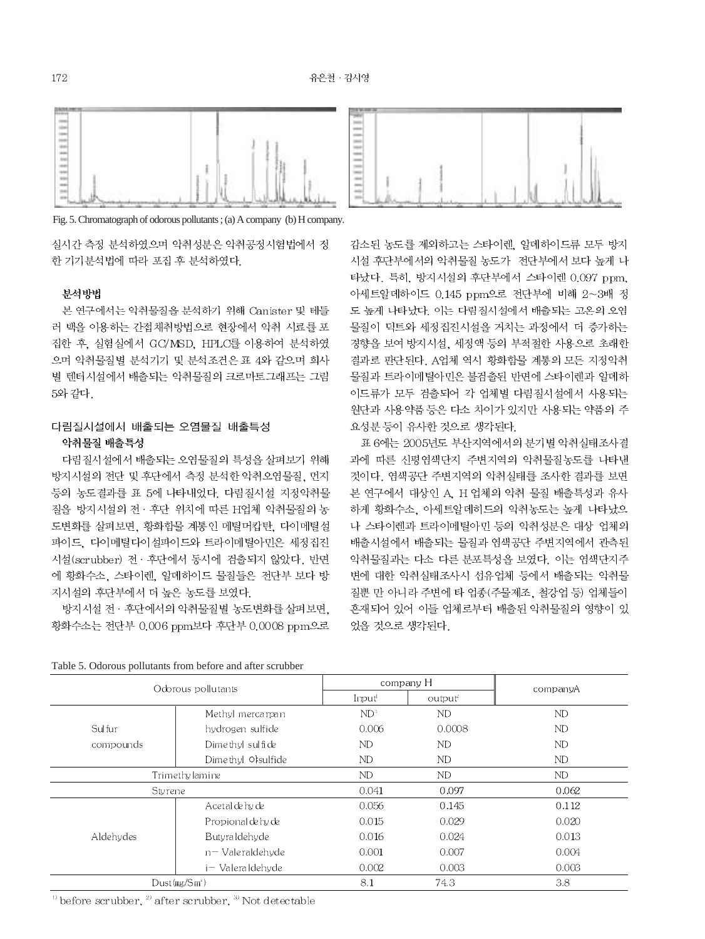

Fig. 5. Chromatograph of odorous pollutants; (a) A company (b) H company.

실시간 측정 분석하였으며 악취성분은 악취공정시험법에서 정 한 기기분석법에 따라 포집 후 분석하였다.

### 뷰석방법

본 연구에서는 악취물질을 분석하기 위해 Canister 및 테들 러 백을 이용하는 간접채취방법으로 현장에서 악취 시료를 포 집한 후, 실험실에서 GC/MSD, HPLC를 이용하여 분석하였 으며 악취물질별 분석기기 및 분석조건은 표 4와 같으며 회사 별 텐터시설에서 배출되는 악취물질의 크로마토그래프는 그림 5와 같다.

## 다림질시설에서 배출되는 오염물질 배출특성 악취물질 배출특성

다림질시설에서 배출되는 오염물질의 특성을 살펴보기 위해 방지시설의 전단 및 후단에서 측정 분석한 악취오염물질, 먼지 등의 농도결과를 표 5에 나타내었다. 다림질시설 지정악취물 질을 방지시설의 전 · 후단 위치에 따른 H업체 악취물질의 농 도변화를 살펴보면, 황화합물 계통인 메틸머캅탄, 다이메틸설 파이드, 다이메틸다이설파이드와 트라이메틸아민은 세정집진 시설(scrubber) 전 · 후단에서 동시에 검출되지 않았다. 반면 에 황화수소, 스타이렌, 알데하이드 물질들은 전단부 보다 방 지시설의 후단부에서 더 높은 농도를 보였다.

방지시설 전 · 후단에서의 악취물질별 농도변화를 살펴보면, 황화수소는 전단부 0.006 ppm보다 후단부 0.0008 ppm으로



감소된 농도를 제외하고는 스타이렌, 알데하이드류 모두 방지 시설 후단부에서의 악취물질 농도가 전단부에서 보다 높게 나 타났다. 특히. 방지시설의 후단부에서 스타이렌 0.097 ppm. 아세트알데하이드 0.145 ppm으로 전단부에 비해 2~3배 정 도 높게 나타났다. 이는 다림질시설에서 배출되는 고온의 오염 물질이 덕트와 세정집진시설을 거치는 과정에서 더 증가하는 경향을 보여 방지시설, 세정액 등의 부적절한 사용으로 초래한 결과로 판단된다. A업체 역시 황화합물 계통의 모든 지정악취 물질과 트라이메틸아민은 불검출된 반면에 스타이렌과 알데하 이드류가 모두 검출되어 각 업체별 다림질시설에서 사용되는 원단과 사용약품 등은 다소 차이가 있지만 사용되는 약품의 주 요성분 등이 유사한 것으로 생각된다.

표 6에는 2005년도 부산지역에서의 분기별 악취실태조사결 과에 따른 신평염색단지 주변지역의 악취물질농도를 나타낸 것이다. 염색공단 주변지역의 악취실태를 조사한 결과를 보면 본 연구에서 대상인 A, H 업체의 악취 물질 배출특성과 유사 하게 황화수소, 아세트알데히드의 악취농도는 높게 나타났으 나 스타이렌과 트라이메틸아민 등의 악취성분은 대상 업체의 배출시설에서 배출되는 물질과 염색공단 주변지역에서 관측된 악취물질과는 다소 다른 분포특성을 보였다. 이는 염색단지주 변에 대한 악취실태조사시 섬유업체 등에서 배출되는 악취물 질뿐 만 아니라 주변에 타 업종(주물제조, 철강업 등) 업체들이 혼재되어 있어 이들 업체로부터 배출된 악취물질의 영향이 있 었을 것으로 생각된다.

|           | Odorous pollutants        |                    | company H           | companyA  |
|-----------|---------------------------|--------------------|---------------------|-----------|
|           |                           | Imput <sup>1</sup> | output <sup>2</sup> |           |
|           | Methyl mercarpan          | $ND^3$             | ND                  | <b>ND</b> |
| Sulfur    | hydrogen sulfide          | 0.006              | 0.0008              | ND        |
| compounds | Dimethyl sulfide          | ND                 | ND                  | ND        |
|           | Dimethyl Ofsulfide        | <b>ND</b>          | ND                  | ND        |
|           | Trimethy lamine           | ND                 | ND                  | ND        |
| Sty rene  |                           | 0.041              | 0.097               | 0.062     |
|           | Acetal de hy de           | 0.056              | 0.145               | 0.112     |
|           | Propional de hy de        | 0.015              | 0.029               | 0.020     |
| Aldehydes | Butvra Idehyde            | 0.016              | 0.024               | 0.013     |
|           | $n-$ Vale raldehyde       | 0.001              | 0.007               | 0.004     |
|           | i- Valeraldehyde          | 0.002              | 0.003               | 0.003     |
|           | Dust(mg/Sm <sup>3</sup> ) | 8.1                | 74.3                | 3.8       |

Table 5. Odorous pollutants from before and after scrubber

 $\degree$  before scrubber,  $\degree$  after scrubber,  $\degree$  Not detectable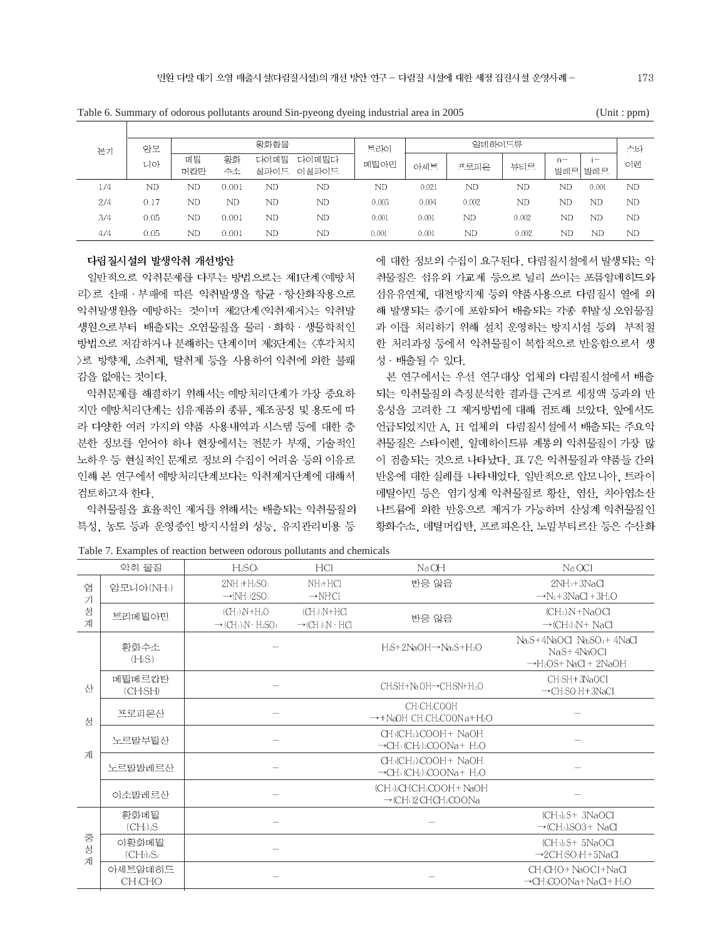| 분기  | 암모   |     |       | 황화합물 |           | 트라이   |       | 알데하이드류 |       |       |                          | 스타 |
|-----|------|-----|-------|------|-----------|-------|-------|--------|-------|-------|--------------------------|----|
|     | 니아   | 메틸  | 황화    | 다이메틸 | 다이메팀다     | 메틸아민  | 아세트   | 프로피온   | 뷰티르   | $n -$ | $\overline{\phantom{0}}$ | 이렌 |
|     |      | 머캅탄 | 수소    | 설파이드 | 이설파이드     |       |       |        |       | 발레르   | 발레르                      |    |
| 1/4 | ND   | ND  | 0.001 | ND   | ND        | ND    | 0.021 | ND     | ND    | ND    | 0.001                    | ND |
| 2/4 | 0.17 | ND  | ND    | ND   | ND        | 0.003 | 0.004 | 0.002  | ND    | ND    | ND                       | ND |
| 3/4 | 0.05 | ND  | 0.001 | ND   | <b>ND</b> | 0.001 | 0.001 | ND     | 0.002 | ND    | ND                       | ND |
| 4/4 | 0.05 | ND  | 0.001 | ND   | ND        | 0.001 | 0.001 | ND     | 0.002 | ND    | ND                       | ND |

Table 6. Summary of odorous pollutants around Sin-pyeong dyeing industrial area in 2005 (Unit : ppm)

### 다림질시설의 발생악취 개선방안

일반적으로 악취문제를 다루는 방법으로는 제1단계 〈예방처 라)로 산패 · 부패에 따른 악취발생을 항규 · 항산화작용으로 악취발생원을 예방하는 것이며 제2단계 <악취제거>는 악취발 생원으로부터 배출되는 오염물질을 물리·화학·생물학적인 방법으로 저감하거나 분해하는 단계이며 제3단계는 〈후각처치 >로 방향제, 소취제, 탈취제 등을 사용하여 악취에 의한 불쾌 감을 없애는 것이다.

악취문제를 해결하기 위해서는 예방처리단계가 가장 중요하 지만 예방처리단계는 섬유제품의 종류, 제조공정 및 용도에 따 라 다양한 여러 가지의 약품 사용내역과 시스템 등에 대한 충 분한 정보를 얻어야 하나 현장에서는 전문가 부재, 기술적인 노하우 등 현실적인 문제로 정보의 수집이 어려움 등의 이유로 인해 본 연구에서 예방처리단계보다는 악취제거단계에 대해서 검토하고자 한다.

악취물질을 효율적인 제거를 위해서는 배출되는 악취물질의 특성, 농도 등과 운영중인 방지시설의 성능, 유지관리비용 등 에 대한 정보의 수집이 요구된다. 다림질시설에서 발생되는 악 취물질은 섬유의 가교제 등으로 널리 쓰이는 포름알데히드와 선유유연제, 대전방지제 등의 약품사용으로 다림질서 열에 의 해 발생되는 증기에 포함되어 배출되는 각종 휘발성 오염물질 과 이를 처리하기 위해 설치 운영하는 방지시설 등의 부적절 한 처리과정 등에서 악취물질이 복합적으로 반응함으로서 생 성 · 배출될 수 있다.

본 연구에서는 우선 연구대상 업체의 다림질시설에서 배출 되는 악취물질의 측정분석한 결과를 근거로 세정액 등과의 반 응성을 고려한 그 제거방법에 대해 검토해 보았다. 앞에서도 언급되었지만 A. H 업체의 다림질시설에서 배출되는 주요악 취물질은 스타이렌, 알데하이드류 계통의 악취물질이 가장 많 이 검출되는 것으로 나타났다. 표 7은 악취물질과 약품들 간의 반응에 대한 실례를 나타내었다. 일반적으로 암모니아, 트라이 메틸아민 등은 염기성계 악취물질로 황산, 염산, 차아염소산 나트륨에 의한 반응으로 제거가 가능하며 산성계 악취물질인 황화수소, 메틸머캅탄, 프로피온산, 노말부티르산 등은 수산화

|             | 악취 물질                                     | $H_2SO_1$                                                                         | HCI                                                     | NaOH                                                                                                                                                | $Na$ OCI                                                                                                                       |
|-------------|-------------------------------------------|-----------------------------------------------------------------------------------|---------------------------------------------------------|-----------------------------------------------------------------------------------------------------------------------------------------------------|--------------------------------------------------------------------------------------------------------------------------------|
| 염<br>기      | 암모니아(NH:)                                 | $2NH_3+H_2SO_3$<br>$\rightarrow$ (NH $\cdot$ 12SO $\cdot$                         | $NH+HCl$<br>$\rightarrow$ NH'Cl                         | 반응 않음                                                                                                                                               | $2NH3+3NaCl$<br>$\rightarrow$ N <sub>2</sub> +3NaCl +3H <sub>2</sub> O                                                         |
| 성<br>계      | 트리메틸아민                                    | $(CH_2)$ $N+H_2O$<br>$\rightarrow$ (CH+) N $\cdot$ H <sub>2</sub> SO <sub>1</sub> | $(CH_2)$ $N + HCl$<br>$\rightarrow$ (CH ) N $\cdot$ HCl | 반응 않음                                                                                                                                               | $(CH_3)_{\rm B}N + NaOCl$<br>$\rightarrow$ (CH <sub>3</sub> ) <sub>3</sub> N + NaCl                                            |
|             | 황화수소<br>(H <sub>2</sub> S)                |                                                                                   |                                                         | H.S+2NaOH→Na2S+H2O                                                                                                                                  | Na <sub>2</sub> S+4NaOCLNa <sub>2</sub> SO <sub>1</sub> +4NaCl<br>$NaS+4NaOCl$<br>$\rightarrow$ H <sub>2</sub> OS+NaCl + 2NaOH |
| 사           | 메틸메르캅탄<br>(CHSH)                          |                                                                                   |                                                         | CH:SH+Na OH→CH:SN+H2O                                                                                                                               | CH:SH+3NaOCI<br>$\rightarrow$ CH <sub>3</sub> SO <sub>3</sub> H + 3NaCl                                                        |
| 성           | 프로피온사                                     |                                                                                   |                                                         | CH <sub>3</sub> CH <sub>2</sub> COOH<br>→+NaOH_CH3CH2COONa+H2O                                                                                      |                                                                                                                                |
|             | 노르말부털산                                    |                                                                                   |                                                         | CH3(CH2)2COOH+ NaOH<br>$\rightarrow$ CH <sub>3</sub> (CH <sub>2</sub> ) <sub>2</sub> COONa+ H <sub>2</sub> O                                        |                                                                                                                                |
| 계           | 노르팔발레르산                                   |                                                                                   |                                                         | CH <sub>3</sub> (CH <sub>2</sub> ) <sub>2</sub> COOH+ NaOH<br>$\rightarrow$ CH <sub>3</sub> (CH <sub>2</sub> ) <sub>3</sub> COONa+ H <sub>2</sub> O |                                                                                                                                |
|             | 이소발레르산                                    |                                                                                   |                                                         | (CH3)2CHCH2COOH + NaOH<br>$\rightarrow$ (CH <sub>3</sub> )2 CHCH <sub>2</sub> COONa                                                                 |                                                                                                                                |
|             | 확화메틸<br>(CH <sub>2</sub> ) <sub>2</sub> S |                                                                                   |                                                         |                                                                                                                                                     | $(CH_3)_2S+3NaOCl$<br>$\rightarrow$ (CH <sub>3</sub> ) $SO3+$ NaCl                                                             |
| 중<br>성<br>계 | 이황화메팀<br>$(CH_1)_2S_2$                    |                                                                                   |                                                         |                                                                                                                                                     | $(CH_3)_2S+5NaOCl$<br>$\rightarrow$ 2CH:sO::H+5NaCl                                                                            |
|             | 아세트알데히드<br>CH <sub>3</sub> CHO            |                                                                                   |                                                         |                                                                                                                                                     | CH <sub>3</sub> CHO+NaOCl+NaCl<br>→CH3COONa+NaCl+ H2O                                                                          |

Table 7. Examples of reaction between odorous pollutants and chemicals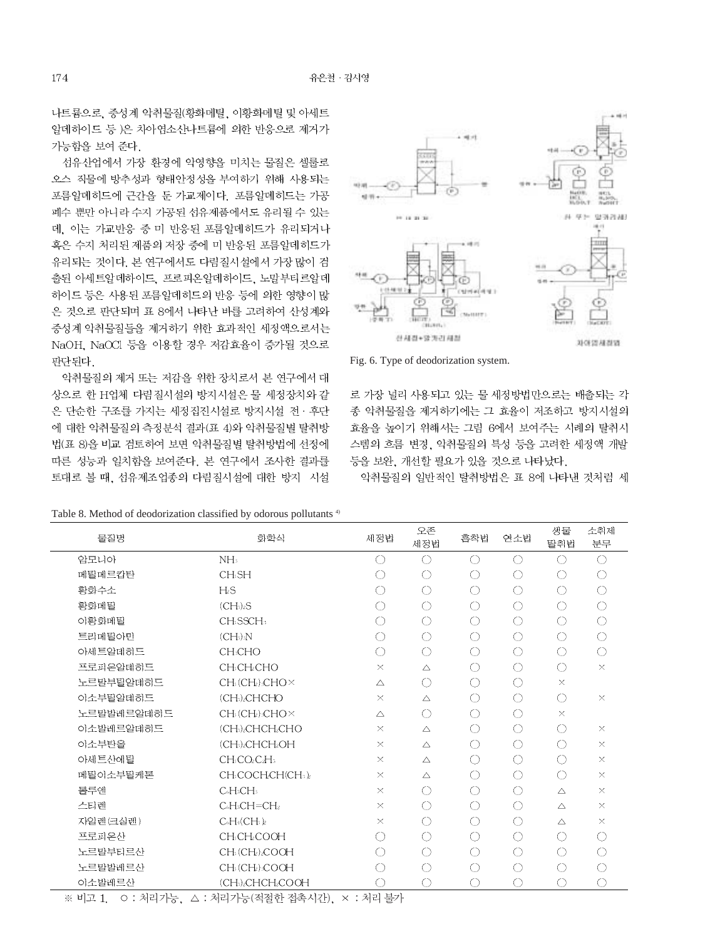나트륨으로, 중성계 악취물질(황화메틸, 이황화메틸 및 아세트 알데하이드 등 )은 차아염소산나트륨에 의한 반응으로 제거가 가능함을 보여 준다.

섭유산업에서 가장 환경에 악영향을 미치는 물질은 셀룰로 오스 직물에 방추성과 형태안정성을 부여하기 위해 사용되는 포름알데히드에 근간을 둔 가교제이다. 포름알데히드는 가공 폐수 뿐만 아니라 수지 가공된 섬유제품에서도 유리될 수 있는 데, 이는 가교반응 중 미 반응된 포름알데히드가 유리되거나 혹은 수지 처리된 제품의 저장 중에 미 반응된 포름알데히드가 유리되는 것이다. 본 연구에서도 다림질시설에서 가장 많이 검 출된 아세트알데하이드, 프로피온알데하이드, 노말부티르알데 하이드 등은 사용된 포름알데히드의 반응 등에 의한 영향이 많 은 것으로 판단되며 표 8에서 나타난 바를 고려하여 산성계와 중성계 악취물질들을 제거하기 위한 효과적인 세정액으로서는 NaOH, NaOCl 등을 이용할 경우 저감효율이 증가될 것으로 판단되다

악취물질의 제거 또는 저감을 위한 장치로서 본 연구에서 대 상으로 한 H업체 다림질시설의 방지시설은 물 세정장치와 같 은 단순한 구조를 가지는 세정집진시설로 방지시설 전 · 후단 에 대한 악취물질의 측정분석 결과(표 4)와 악취물질별 탈취방 법(표 8)을 비교 검토하여 보면 악취물질별 탈취방법에 선정에 따른 성능과 일치함을 보여준다. 본 연구에서 조사한 결과를 토대로 볼 때, 섬유제조업종의 다림질시설에 대한 방지 시설



Fig. 6. Type of deodorization system.

로 가장 널리 사용되고 있는 물 세정방법만으로는 배출되는 각 종 악취물질을 제거하기에는 그 효율이 저조하고 방지시설의 효율을 높이기 위해서는 그림 6에서 보여주는 시례의 탈취시 스템의 흐름 변경, 악취물질의 특성 등을 고려한 세정액 개발 등을 보완, 개선할 필요가 있을 것으로 나타났다.

악취물질의 일반적인 탈취방법은 표 8에 나타낸 것처럼 세

| 물질명        | 화학식                                                           | 세정법         | 오존<br>세정법   | 흡착법        | 연소법                 | 생물<br>탈취법   | 소취제<br>분무  |
|------------|---------------------------------------------------------------|-------------|-------------|------------|---------------------|-------------|------------|
| 암모니아       | NH <sub>3</sub>                                               | $\bigcirc$  | $\bigcirc$  | $\bigcirc$ | $\bigcirc$          | ∩           | $\bigcirc$ |
| 메틸메르캅탄     | CH <sub>5</sub> H                                             | O           | $\bigcirc$  | O          | $\bigcirc$          | O           | $\bigcirc$ |
| 황화수소       | H.S                                                           | $\bigcirc$  | ◯           | ◯          | $\circlearrowright$ | $\bigcirc$  | $\bigcirc$ |
| 황화메달       | (CH <sub>2</sub> ) <sub>2</sub> S                             | ◯           | $\bigcirc$  | ◯          | $\bigcirc$          | $\bigcirc$  | $\bigcirc$ |
| 이황화메틸      | CH <sub>5</sub> SSCH <sub>3</sub>                             | $\bigcirc$  | $\bigcirc$  | ◯          | $\bigcirc$          | $\bigcirc$  | $\bigcirc$ |
| 트리메틸아민     | $(CH_3)_3N$                                                   | $\bigcirc$  | $\bigcirc$  | $\bigcirc$ | $\circlearrowright$ | $\bigcirc$  | $\bigcirc$ |
| 아세트알데히드    | <b>CH:CHO</b>                                                 | ◯           | $\bigcirc$  | $\bigcirc$ | $\bigcirc$          | $\bigcirc$  | $\bigcirc$ |
| 프로피온알데하드   | CH <sub>5</sub> CH <sub>2</sub> CHO                           | $\times$    | Δ           | ○          | ◯                   | $\bigcirc$  | $\times$   |
| 노르말부틸알데히드  | CH: (CH): CHO ×                                               | $\triangle$ | $\bigcirc$  | ◯          | $\circlearrowright$ | $\times$    |            |
| 이소부틸알데히드   | (CH:) <sub>2</sub> CHCHO                                      | $\times$    | $\triangle$ | ◯          | $\circlearrowright$ | $\bigcirc$  | $\times$   |
| 노르말발레르알데히드 | $CH_3$ (CH $_2$ ) $_3$ CHO $\times$                           | $\triangle$ | ◯           | ○          | ◯                   | $\times$    |            |
| 이소발레르알데히드  | (CH) <sub>2</sub> CHCH <sub>2</sub> CHO                       | $\times$    | $\triangle$ | $\bigcirc$ | $\bigcirc$          | $\bigcirc$  | $\times$   |
| 이소부탄올      | (CH <sub>b</sub> <sub>2</sub> CHCH <sub>2</sub> OH            | $\times$    | $\triangle$ | $\bigcirc$ | $\circlearrowright$ | $\bigcirc$  | $\times$   |
| 아세트산에팀     | CH <sub>3</sub> CO <sub>2</sub> C <sub>2</sub> H <sub>3</sub> | $\times$    | $\triangle$ | ○          | O                   | ∩           | $\times$   |
| 메틸이소부틸케톤   | CH:COCHCH(CH:)2                                               | $\times$    | $\triangle$ | ◯          | $\circlearrowright$ | $\bigcirc$  | $\times$   |
| 톨루에        | C6H5CH5                                                       | $\times$    | $\bigcirc$  | O          | $\circlearrowright$ | $\triangle$ | $\times$   |
| 스티렌        | $C6H3CH=CH2$                                                  | $\times$    | $\bigcirc$  | ○          | $\bigcirc$          | $\triangle$ | $\times$   |
| 자일렌 (크실렌)  | $C_6H_4(CH_3)_2$                                              | $\times$    | ◯           | O          | $\circlearrowright$ | $\triangle$ | $\times$   |
| 프로피온산      | CH:CH:COOH                                                    | ◯           | ◯           | ◯          | $\bigcirc$          | $\bigcirc$  | $\bigcirc$ |
| 노르말부티르산    | CH: (CH2)2COOH                                                | ◯           | $\bigcirc$  | $\bigcirc$ | $\bigcirc$          | $\bigcirc$  | ◯          |
| 노르말발레르산    | CH: (CH): COOH                                                | ◯           | ◯           | ◯          | O                   | $\bigcirc$  | ◯          |
| 이소발레르산     | (CH <sub>1</sub> ) <sub>2</sub> CHCH <sub>2</sub> COOH        | O           | $\bigcirc$  | $\bigcirc$ | $\bigcirc$          | ⊜           | $\bigcirc$ |

Table 8. Method of deodorization classified by odorous pollutants<sup>4)</sup>

174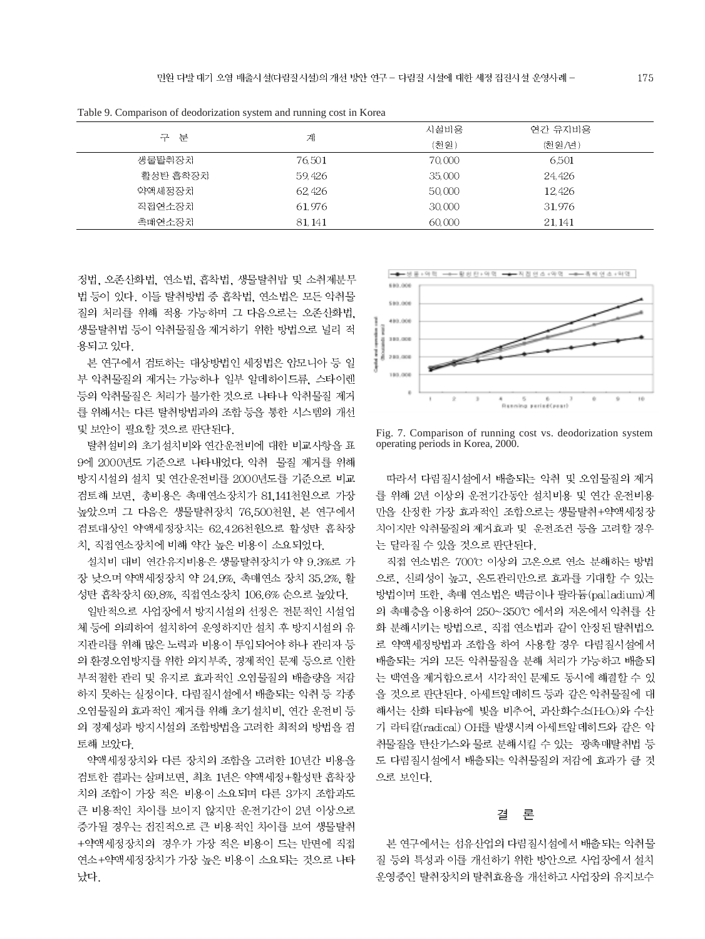|          | Tuble 7. Comparison of acodomeation system and running cost in reorga |        |         |  |  |  |  |  |
|----------|-----------------------------------------------------------------------|--------|---------|--|--|--|--|--|
|          |                                                                       | 시설비용   | 연간 유지비용 |  |  |  |  |  |
| 구 분      | 계                                                                     | (천원)   | (처위/녀)  |  |  |  |  |  |
| 생물탈취장치   | 76.501                                                                | 70,000 | 6.501   |  |  |  |  |  |
| 활성탄 흡착장치 | 59,426                                                                | 35,000 | 24,426  |  |  |  |  |  |
| 약액세정장치   | 62,426                                                                | 50,000 | 12,426  |  |  |  |  |  |
| 직접연소장치   | 61.976                                                                | 30,000 | 31,976  |  |  |  |  |  |
| 촉매연소장치   | 81.141                                                                | 60,000 | 21.141  |  |  |  |  |  |

Table 9. Comparison of deodorization system and running cost in Korea

정법, 오존산화법, 연소법, 흡착법, 생물탈취밥 및 소취제분무 법 등이 있다. 이들 탈취방법 중 흡착법, 연소법은 모든 악취물 질의 처리를 위해 적용 가능하며 그 다음으로는 오존산화법. 생물탈취법 등이 악취물질을 제거하기 위한 방법으로 널리 적 용되고 있다.

본 연구에서 검토하는 대상방법인 세정법은 암모니아 등 일 부 악취물질의 제거는 가능하나 일부 알데하이드류. 스타이렌 등의 악취물질은 처리가 불가한 것으로 나타나 악취물질 제거 를 위해서는 다른 탈취방법과의 조합 등을 통한 시스템의 개선 및 보안이 필요할 것으로 판단된다.

탈취설비의 초기설치비와 연간운전비에 대한 비교사항을 표 9에 2000년도 기준으로 나타내었다. 악취 물질 제거를 위해 방지시설의 설치 및 연간운전비를 2000년도를 기준으로 비교 검토해 보면, 총비용은 촉매연소장치가 81,141천원으로 가장 높았으며 그 다음은 생물탈취장치 76,500천원, 본 연구에서 검토대상인 약액세정장치는 62,426천원으로 활성탄 흡착장 치, 직접연소장치에 비해 약간 높은 비용이 소요되었다.

설치비 대비 연간유지비용은 생물탈취장치가 약 9.3%로 가 장 낮으며 약액세정장치 약 24.9%, 촉매연소 장치 35.2%, 활 성탄 흡착장치 69.8%, 직접연소장치 106.6% 순으로 높았다.

일반적으로 사업장에서 방지시설의 선정은 전문적인 시설업 체 등에 의뢰하여 설치하여 운영하지만 설치 후 방지시설의 유 지관리를 위해 많은 노력과 비용이 투입되어야 하나 관리자 등 의 환경오염방지를 위한 의지부족, 경제적인 문제 등으로 인한 부적절한 관리 및 유지로 효과적인 오염물질의 배출량을 저감 하지 못하는 실정이다. 다림질시설에서 배출되는 악취 등 각종 오염물질의 효과적인 제거를 위해 초기설치비, 연간 운전비 등 의 경제성과 방지시설의 조합방법을 고려한 최적의 방법을 검 토해 보았다.

약액세정장치와 다른 장치의 조합을 고려한 10년간 비용을 검토한 결과는 살펴보면, 최초 1년은 약액세정+활성탄 흡착장 치의 조합이 가장 적은 비용이 소요되며 다른 3가지 조합과도 큰 비용적인 차이를 보이지 않지만 운전기간이 2년 이상으로 증가될 경우는 점진적으로 큰 비용적인 차이를 보여 생물탈취 +약액세정장치의 경우가 가장 적은 비용이 드는 반면에 직접 연소+약액세정장치가 가장 높은 비용이 소요되는 것으로 나타 났다.



Fig. 7. Comparison of running cost vs. deodorization system operating periods in Korea, 2000.

따라서 다림질시설에서 배출되는 악취 및 오염물질의 제거 를 위해 2년 이상의 운전기간동안 설치비용 및 연간 운전비용 만을 산정한 가장 효과적인 조합으로는 생물탈취+약액세정장 치이지만 악취물질의 제거효과 및 운전조건 등을 고려할 경우 는 달라질 수 있을 것으로 판단된다.

직접 연소법은 700℃ 이상의 고온으로 연소 분해하는 방법 으로, 신뢰성이 높고, 온도관리만으로 효과를 기대할 수 있는 방법이며 또한, 촉매 연소법은 백금이나 팔라듐(palladium)계 의 촉매층을 이용하여 250~350℃ 에서의 저온에서 악취를 산 화 분해시키는 방법으로, 직접 연소법과 같이 안정된 탈취법으 로 약액세정방법과 조합을 하여 사용할 경우 다림질시설에서 배출되는 거의 모든 악취물질을 분해 처리가 가능하고 배출되 는 백연을 제거함으로서 시각적인 문제도 동시에 해결할 수 있 을 것으로 판단된다. 아세트알데히드 등과 같은 악취물질에 대 해서는 산화 티타늄에 빛을 비추어, 과산화수소(H2O2)와 수산 기 라티칼(radical) OH를 발생시켜 아세트알데히드와 같은 악 취물질을 탄산가스와 물로 분해시킬 수 있는 광촉매탈취법 등 도 다림질시설에서 배출되는 악취물질의 저감에 효과가 클 것 으로 보인다.

#### 결 론

본 연구에서는 섬유산업의 다림질시설에서 배출되는 악취물 질 등의 특성과 이를 개선하기 위한 방안으로 사업장에서 설치 운영중인 탈취장치의 탈취효율을 개선하고 사업장의 유지보수